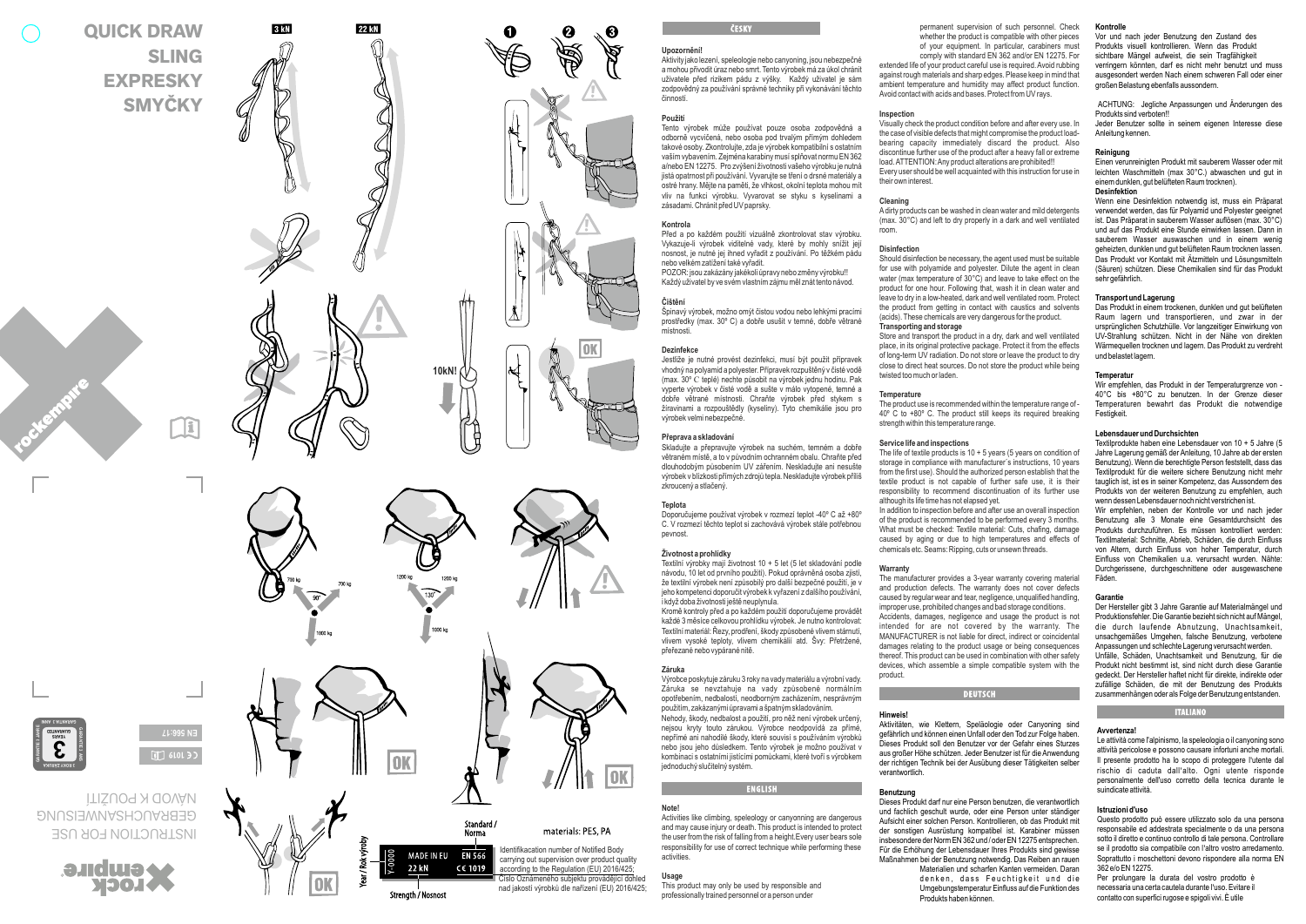# **SLIN G EXPRESKY SMYČKY**

**QUICK DRAW** 



3 KM

**22 M** 



**10kN!**



**EN 566:17**  $\boxed{1}$  6101  $\frac{1}{2}$ 

INSIENCIION FOR USE **AND CHS AND ISSUES** ÌTIŠUOJ X QOVÀ*V* 





# ČESKV

# **Upozornění!**

ଈ

|ok

Aktivity jako lezení, speleologie nebo canyoning, jsou nebezpečné a mohou přivodit úraz nebo smrt. Tento výrobek má za úkol chránit uživatele před rizikem pádu z výšky. Každý uživatel je sám zodpovědný za používání správné techniky při vykonávání těchto činností.

#### **Použití**

Tento výrobek může používat pouze osoba zodpovědná a odborně vycvičená, nebo osoba pod trvalým přímým dohledem takové osoby. Zkontrolujte, zda je výrobek kompatibilní s ostatním vaším vybavením. Zejména karabiny musí splňovat normu EN 362 a/nebo EN 12275. Pro zvýšení životnosti vašeho výrobku je nutná jistá opatrnost při používání. Vyvarujte se tření o drsné materiály a ostré hrany. Mějte na paměti, že vlhkost, okolní teplota mohou mít vliv na funkci výrobku. Vyvarovat se styku s kyselinami a zásadami. Chránit před UV paprsky.

**Kontrola**<br>Před a po každém použití vizuálně zkontrolovat stav výrobku. Před a po každém použití vizuálně zkontrolovat stav výrobku. Vykazuje-li výrobek viditelné vady, které by mohly snížit její nosnost, je nutné jej ihned vyřadit z používání. Po těžkém pádu nebo velkém zatížení také vyřadit. POZOR: jsou zakázány jakékoli úpravy nebo změny výrobku!! Každý uživatel by ve svém vlastním zájmu měl znát tento návod.

# **Čištění**

Špinavý výrobek, možno omýt čistou vodou nebo lehkými pracími prostředky (max. 30º C) a dobře usušit v temné, dobře větrané místnosti.

### **Dezinfekce**

Jestliže je nutné provést dezinfekci, musí být použit přípravek vhodný na polyamid a polyester. Přípravek rozpuštěný v čisté vodě (max. 30º C teplé) nechte působit na výrobek jednu hodinu. Pak vyperte výrobek v čisté vodě a sušte v málo vytopené, temné a dobře větrané místnosti. Chraňte výrobek před stykem s žíravinami a rozpouštědly (kyseliny). Tyto chemikálie jsou pro výrobek velmi nebezpečné.

# **Přeprava a skladování**

Skladujte a přepravujte výrobek na suchém, temném a dobře větraném místě, a to v původním ochranném obalu. Chraňte před dlouhodobým působením UV zářením. Neskladujte ani nesušte výrobek v blízkosti přímých zdrojů tepla. Neskladujte výrobek příliš zkroucený a stlačený.

## **Teplota**

Doporučujeme používat výrobek v rozmezí teplot -40º C až +80º C. V rozmezí těchto teplot si zachovává výrobek stále potřebnou pevnost.

#### **Životnost a prohlídky**

Textilní výrobky mají životnost 10 + 5 let (5 let skladování podle návodu, 10 let od prvního použití). Pokud oprávněná osoba zjistí, že textilní výrobek není způsobilý pro další bezpečné použití, je v jeho kompetenci doporučit výrobek k vyřazení z dalšího používání, i když doba životnosti ještě neuplynula.

Kromě kontroly před a po každém použití doporučujeme provádět<br>každé 3 měsíce celkovou prohlídku výrobek. Je nutno kontrolovat: Textilní materiál: Řezy, prodření, škody způsobené vlivem stárnutí, vlivem vysoké teploty, vlivem chemikálií atd. Švy: Přetržené, přeřezané nebo vypárané nitě.

**Záruka**<br>Výrobce poskytuje záruku 3 roky na vady materiálu a výrobní vady. Záruka se nevztahuje na vady způsobené normálním opotřebením, nedbalostí, neodborným zacházením, nesprávným použitím, zakázanými úpravami a špatným skladováním. Nehody, škody, nedbalost a použití, pro něž není výrobek určený, nejsou kryty touto zárukou. Výrobce neodpovídá za přímé, nepřímé ani nahodilé škody, které souvisí s používáním výrobků nebo jsou jeho důsledkem. Tento výrobek je možno používat v kombinaci s ostatními jistícími pomůckami, které tvoří s výrobkem jednoduchý slučitelný systém.

responsibility for use of correct technique while performing these

**ENGLISH** 

This product may only be used by responsible and professionally trained personnel or a person under

# **Note!**

activities. **Usage**

Activities like climbing, speleology or canyonning are dangerous and may cause injury or death. This product is intended to protect the user from the risk of falling from a height.Every user bears sole

OK

Číslo Oznámeného subjektu provádějící dohled Identifikacation number of Notified Body carrying out supervision over product quality according to the Regulation (EU) 2016/425

nad jakostí výrobků dle nařízení (EU) 2016/425;

#### permanent supervision of such personnel. Check whether the product is compatible with other pieces of your equipment. In particular, carabiners must

comply with standard EN 362 and/or EN 12275. For extended life of your product careful use is required. Avoid rubbing against rough materials and sharp edges. Please keep in mind that ambient temperature and humidity may affect product function. Avoid contact with acids and bases. Protect from UV rays.

# **Inspection**

Visually check the product condition before and after every use. In the case of visible defects that might compromise the product load bearing capacity immediately discard the product. Also discontinue further use of the product after a heavy fall or extreme load. ATTENTION: Any product alterations are prohibited!! Every user should be well acquainted with this instruction for use in their own interest.

# **Cleaning**

Adirty products can be washed in clean water and mild detergents (max. 30°C) and left to dry properly in a dark and well ventilated room.

#### **Disinfection**

Should disinfection be necessary, the agent used must be suitable for use with polyamide and polyester. Dilute the agent in clean water (max temperature of 30°C) and leave to take effect on the product for one hour. Following that, wash it in clean water and leave to dry in a low-heated, dark and well ventilated room. Protect the product from getting in contact with caustics and solvents (acids). These chemicals are very dangerous for the product.

# **Transporting and storage**

Store and transport the product in a dry, dark and well ventilated place, in its original protective package. Protect it from the effects of long-term UV radiation. Do not store or leave the product to dry close to direct heat sources. Do not store the product while being twisted too much or laden.

#### **Temperature**

The product use is recommended within the temperature range of - 40º C to +80º C. The product still keeps its required breaking strength within this temperature range

#### **Service life and inspections**

The life of textile products is  $10 + 5$  years (5 years on condition of storage in compliance with manufacturer´s instructions, 10 years from the first use). Should the authorized person establish that the textile product is not capable of further safe use, it is their responsibility to recommend discontinuation of its further use although its life time has not elansed yet.

In addition to inspection before and after use an overall inspection of the product is recommended to be performed every 3 months. What must be checked: Textile material: Cuts, chafing, damage caused by aging or due to high temperatures and effects of chemicals etc. Seams: Ripping, cuts or unsewn threads.

#### **Warranty**

The manufacturer provides a 3-year warranty covering material and production defects. The warranty does not cover defects caused by regular wear and tear, negligence, unqualified handling, improper use, prohibited changes and bad storage conditions. Accidents, damages, negligence and usage the product is not intended for are not covered by the warranty. The MANUFACTURER is not liable for direct, indirect or coincidental damages relating to the product usage or being consequences thereof. This product can be used in combination with other safety devices, which assemble a simple compatible system with the product.

**DEUTSCH** 

# **Hinweis!**

Aktivitäten, wie Klettern, Speläologie oder Canyoning sind gefährlich und können einen Unfall oder den Tod zur Folge haben. Dieses Produkt soll den Benutzer vor der Gefahr eines Sturzes aus großer Höhe schützen. Jeder Benutzer ist für die Anwendung der richtigen Technik bei der Ausübung dieser Tätigkeiten selber verantwortlich.

# **Benutzung**

Dieses Produkt darf nur eine Person benutzen, die verantwortlich und fachlich geschult wurde, oder eine Person unter ständiger Aufsicht einer solchen Person. Kontrollieren, ob das Produkt mit der sonstigen Ausrüstung kompatibel ist. Karabiner müssen insbesondere der Norm EN 362 und / oder EN 12275 entsprechen. Für die Erhöhung der Lebensdauer Ihres Produkts sind gewisse Maßnahmen bei der Benutzung notwendig. Das Reiben an rauen

denken dass Feuchtigkeit und die Umgebungstemperatur Einfluss auf die Funktion des Produkts haben können.

#### **Kontrolle**

Vor und nach jeder Benutzung den Zustand des Produkts visuell kontrollieren. Wenn das Produkt sichtbare Mängel aufweist, die sein Tragfähigkeit verringern könnten, darf es nicht mehr benutzt und muss ausgesondert werden Nach einem schweren Fall oder einer großen Belastung ebenfalls aussondern.

ACHTUNG: Jegliche Anpassungen und Änderungen des Produkts sind verboten!!

Jeder Benutzer sollte in seinem eigenen Interesse diese Anleitung kennen.

# **Reinigung**

Einen verunreinigten Produkt mit sauberem Wasser oder mit leichten Waschmitteln (max 30°C.) abwaschen und gut in einem dunklen, gut belüfteten Raum trocknen). **Desinfektion**

Wenn eine Desinfektion notwendig ist, muss ein Präparat verwendet werden, das für Polyamid und Polyester geeignet ist. Das Präparat in sauberem Wasser auflösen (max. 30°C) sauberem Wasser auswaschen und in einem wenig geheizten, dunklen und gut belüfteten Raum trocknen lassen. Das Produkt vor Kontakt mit Ätzmitteln und Lösungsmitteln (Säuren) schützen. Diese Chemikalien sind für das Produkt sehr gefährlich.

**Transport und Lagerung**<br>Das Produkt in einem trockenen, dunklen und gut belüfteten Raum lagern und transportieren, und zwar in der ursprünglichen Schutzhülle. Vor langzeitiger Einwirkung von UV-Strahlung schützen. Nicht in der Nähe von direkten Wärmequellen trocknen und lagern. Das Produkt zu verdreht und belastet lagern.

### **Temperatur**

Wir empfehlen, das Produkt in der Temperaturgrenze von - 40°C bis +80°C zu benutzen. In der Grenze dieser Temperaturen bewahrt das Produkt die notwendige Festigkeit.

#### **Lebensdauer und Durchsichten**

Textilprodukte haben eine Lebensdauer von 10 + 5 Jahre (5 Jahre Lagerung gemäß der Anleitung, 10 Jahre ab der ersten Benutzung). Wenn die berechtigte Person feststellt, dass das Textilprodukt für die weitere sichere Benutzung nicht mehr tauglich ist, ist es in seiner Kompetenz, das Aussondern des Produkts von der weiteren Benutzung zu empfehlen, auch wenn dessen Lebensdauer noch nicht verstrichen ist.

Wir empfehlen, neben der Kontrolle vor und nach jeder Benutzung alle 3 Monate eine Gesamtdurchsicht des Textilmaterial: Schnitte, Abrieb, Schäden, die durch Einfluss von Altern, durch Einfluss von hoher Temperatur, durch Einfluss von Chemikalien u.a. verursacht wurden. Nähte: Durchgerissene, durchgeschnittene oder ausgewaschene Fäden.

#### **Garantie**

Der Hersteller gibt 3 Jahre Garantie auf Materialmängel und die durch laufende Abnutzung, Unachtsamkeit unsachgemäßes Umgehen, falsche Benutzung, verbotene Anpassungen und schlechte Lagerung verursacht werden. Unfälle, Schäden, Unachtsamkeit und Benutzung, für die Produkt nicht bestimmt ist, sind nicht durch diese Garantie gedeckt. Der Hersteller haftet nicht für direkte, indirekte oder zufällige Schäden, die mit der Benutzung des Produkts zusammenhängen oder als Folge der Benutzung entstanden.

# **ITALIANO**

#### **Avvertenza!**

Le attività come l'alpinismo, la speleologia o il canyoning sono attività pericolose e possono causare infortuni anche mortali. rischio di caduta dall'alto. Ogni utente risponde personalmente dell'uso corretto della tecnica durante le suindicate attività.

#### **Istruzioni d'uso**

Questo prodotto può essere utilizzato solo da una persona responsabile ed addestrata specialmente o da una persona sotto il diretto e continuo controllo di tale persona. Controllare se il prodotto sia compatibile con l'altro vostro arredamento. Soprattutto i moschettoni devono rispondere alla norma EN 362 e/o EN 12275.

Per prolungare la durata del vostro prodotto è necessaria una certa cautela durante l'uso. Evitare il contatto con superfici rugose e spigoli vivi. È utile